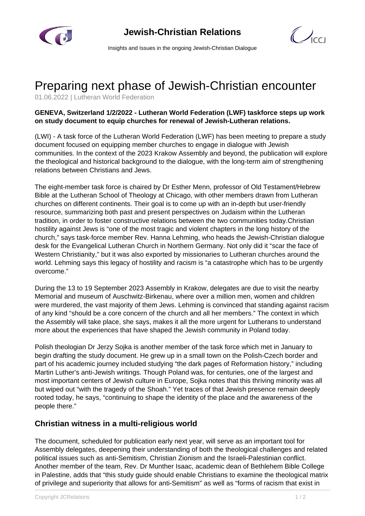



Insights and Issues in the ongoing Jewish-Christian Dialogue

## Preparing next phase of Jewish-Christian encounter

01.06.2022 | Lutheran World Federation

## **GENEVA, Switzerland 1/2/2022 - Lutheran World Federation (LWF) taskforce steps up work on study document to equip churches for renewal of Jewish-Lutheran relations.**

(LWI) - A task force of the Lutheran World Federation (LWF) has been meeting to prepare a study document focused on equipping member churches to engage in dialogue with Jewish communities. In the context of the 2023 Krakow Assembly and beyond, the publication will explore the theological and historical background to the dialogue, with the long-term aim of strengthening relations between Christians and Jews.

The eight-member task force is chaired by Dr Esther Menn, professor of Old Testament/Hebrew Bible at the Lutheran School of Theology at Chicago, with other members drawn from Lutheran churches on different continents. Their goal is to come up with an in-depth but user-friendly resource, summarizing both past and present perspectives on Judaism within the Lutheran tradition, in order to foster constructive relations between the two communities today.Christian hostility against Jews is "one of the most tragic and violent chapters in the long history of the church," says task-force member Rev. Hanna Lehming, who heads the Jewish-Christian dialogue desk for the Evangelical Lutheran Church in Northern Germany. Not only did it "scar the face of Western Christianity," but it was also exported by missionaries to Lutheran churches around the world. Lehming says this legacy of hostility and racism is "a catastrophe which has to be urgently overcome."

During the 13 to 19 September 2023 Assembly in Krakow, delegates are due to visit the nearby Memorial and museum of Auschwitz-Birkenau, where over a million men, women and children were murdered, the vast majority of them Jews. Lehming is convinced that standing against racism of any kind "should be a core concern of the church and all her members." The context in which the Assembly will take place, she says, makes it all the more urgent for Lutherans to understand more about the experiences that have shaped the Jewish community in Poland today.

Polish theologian Dr Jerzy Sojka is another member of the task force which met in January to begin drafting the study document. He grew up in a small town on the Polish-Czech border and part of his academic journey included studying "the dark pages of Reformation history," including Martin Luther's anti-Jewish writings. Though Poland was, for centuries, one of the largest and most important centers of Jewish culture in Europe, Sojka notes that this thriving minority was all but wiped out "with the tragedy of the Shoah." Yet traces of that Jewish presence remain deeply rooted today, he says, "continuing to shape the identity of the place and the awareness of the people there."

## **Christian witness in a multi-religious world**

The document, scheduled for publication early next year, will serve as an important tool for Assembly delegates, deepening their understanding of both the theological challenges and related political issues such as anti-Semitism, Christian Zionism and the Israeli-Palestinian conflict. Another member of the team, Rev. Dr Munther Isaac, academic dean of Bethlehem Bible College in Palestine, adds that "this study guide should enable Christians to examine the theological matrix of privilege and superiority that allows for anti-Semitism" as well as "forms of racism that exist in